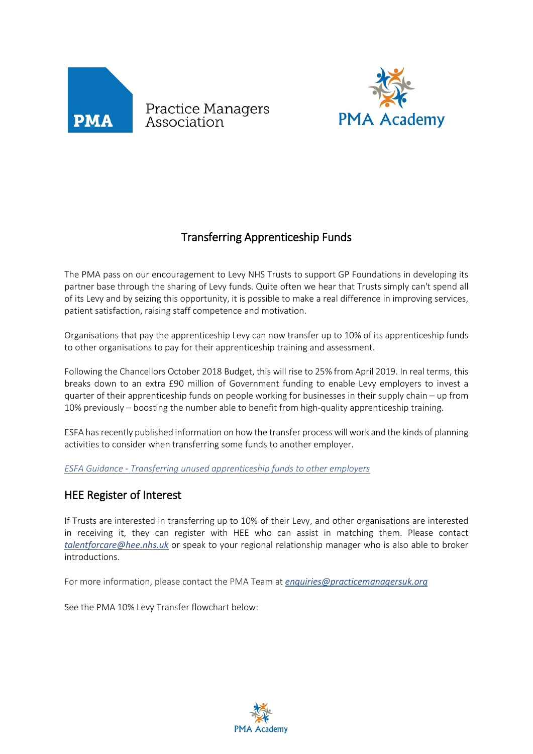

Practice Managers<br>Association



## Transferring Apprenticeship Funds

The PMA pass on our encouragement to Levy NHS Trusts to support GP Foundations in developing its partner base through the sharing of Levy funds. Quite often we hear that Trusts simply can't spend all of its Levy and by seizing this opportunity, it is possible to make a real difference in improving services, patient satisfaction, raising staff competence and motivation.

Organisations that pay the apprenticeship Levy can now transfer up to 10% of its apprenticeship funds to other organisations to pay for their apprenticeship training and assessment.

Following the Chancellors October 2018 Budget, this will rise to 25% from April 2019. In real terms, this breaks down to an extra £90 million of Government funding to enable Levy employers to invest a quarter of their apprenticeship funds on people working for businesses in their supply chain – up from 10% previously – boosting the number able to benefit from high-quality apprenticeship training.

ESFA has recently published information on how the transfer process will work and the kinds of planning activities to consider when transferring some funds to another employer.

*ESFA Guidance - [Transferring unused apprenticeship funds to other employers](https://www.gov.uk/guidance/transferring-apprenticeship-service-funds)*

## HEE Register of Interest

If Trusts are interested in transferring up to 10% of their Levy, and other organisations are interested in receiving it, they can register with HEE who can assist in matching them. Please contact *[talentforcare@hee.nhs.uk](mailto:talentforcare@hee.nhs.uk)* or speak to your regional relationship manager who is also able to broker introductions.

For more information, please contact the PMA Team at *[enquiries@practicemanagersuk.org](mailto:enquiries@practicemanagersuk.org)*

See the PMA 10% Levy Transfer flowchart below: